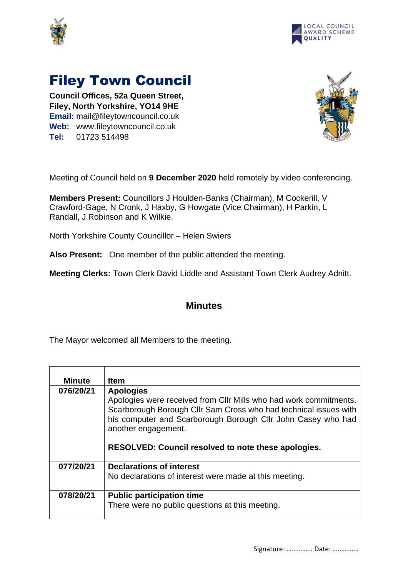



## Filey Town Council

**Council Offices, 52a Queen Street, Filey, North Yorkshire, YO14 9HE Email:** mail@fileytowncouncil.co.uk **Web:** www.fileytowncouncil.co.uk **Tel:** 01723 514498



Meeting of Council held on **9 December 2020** held remotely by video conferencing.

**Members Present:** Councillors J Houlden-Banks (Chairman), M Cockerill, V Crawford-Gage, N Cronk, J Haxby, G Howgate (Vice Chairman), H Parkin, L Randall, J Robinson and K Wilkie.

North Yorkshire County Councillor – Helen Swiers

**Also Present:** One member of the public attended the meeting.

**Meeting Clerks:** Town Clerk David Liddle and Assistant Town Clerk Audrey Adnitt.

## **Minutes**

The Mayor welcomed all Members to the meeting.

| Minute    | <b>Item</b>                                                                           |
|-----------|---------------------------------------------------------------------------------------|
| 076/20/21 | <b>Apologies</b><br>Apologies were received from CIIr Mills who had work commitments, |
|           | Scarborough Borough Cllr Sam Cross who had technical issues with                      |
|           | his computer and Scarborough Borough Cllr John Casey who had<br>another engagement.   |
|           | <b>RESOLVED: Council resolved to note these apologies.</b>                            |
| 077/20/21 | <b>Declarations of interest</b>                                                       |
|           | No declarations of interest were made at this meeting.                                |
| 078/20/21 | <b>Public participation time</b>                                                      |
|           | There were no public questions at this meeting.                                       |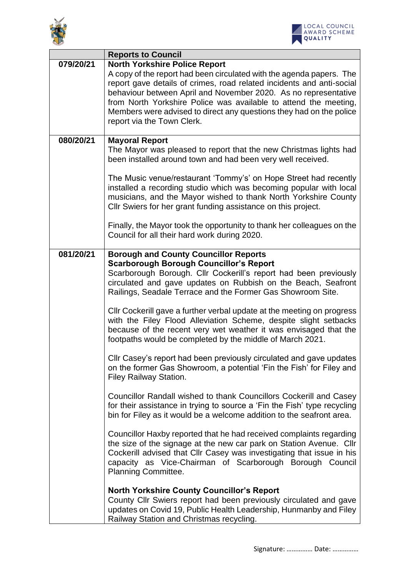



|           | <b>Reports to Council</b>                                                                                                                                                                                                                                                                                                                                                                                                                                                                                                                                                                                                                                                                                                                                                                                                                                                                                                                                                                                                                                                                                                                                                                                                                                                                                     |
|-----------|---------------------------------------------------------------------------------------------------------------------------------------------------------------------------------------------------------------------------------------------------------------------------------------------------------------------------------------------------------------------------------------------------------------------------------------------------------------------------------------------------------------------------------------------------------------------------------------------------------------------------------------------------------------------------------------------------------------------------------------------------------------------------------------------------------------------------------------------------------------------------------------------------------------------------------------------------------------------------------------------------------------------------------------------------------------------------------------------------------------------------------------------------------------------------------------------------------------------------------------------------------------------------------------------------------------|
| 079/20/21 | <b>North Yorkshire Police Report</b><br>A copy of the report had been circulated with the agenda papers. The<br>report gave details of crimes, road related incidents and anti-social<br>behaviour between April and November 2020. As no representative<br>from North Yorkshire Police was available to attend the meeting,<br>Members were advised to direct any questions they had on the police<br>report via the Town Clerk.                                                                                                                                                                                                                                                                                                                                                                                                                                                                                                                                                                                                                                                                                                                                                                                                                                                                             |
| 080/20/21 | <b>Mayoral Report</b><br>The Mayor was pleased to report that the new Christmas lights had<br>been installed around town and had been very well received.                                                                                                                                                                                                                                                                                                                                                                                                                                                                                                                                                                                                                                                                                                                                                                                                                                                                                                                                                                                                                                                                                                                                                     |
|           | The Music venue/restaurant 'Tommy's' on Hope Street had recently<br>installed a recording studio which was becoming popular with local<br>musicians, and the Mayor wished to thank North Yorkshire County<br>CIIr Swiers for her grant funding assistance on this project.                                                                                                                                                                                                                                                                                                                                                                                                                                                                                                                                                                                                                                                                                                                                                                                                                                                                                                                                                                                                                                    |
|           | Finally, the Mayor took the opportunity to thank her colleagues on the<br>Council for all their hard work during 2020.                                                                                                                                                                                                                                                                                                                                                                                                                                                                                                                                                                                                                                                                                                                                                                                                                                                                                                                                                                                                                                                                                                                                                                                        |
| 081/20/21 | <b>Borough and County Councillor Reports</b><br><b>Scarborough Borough Councillor's Report</b><br>Scarborough Borough. Cllr Cockerill's report had been previously<br>circulated and gave updates on Rubbish on the Beach, Seafront<br>Railings, Seadale Terrace and the Former Gas Showroom Site.<br>Cllr Cockerill gave a further verbal update at the meeting on progress<br>with the Filey Flood Alleviation Scheme, despite slight setbacks<br>because of the recent very wet weather it was envisaged that the<br>footpaths would be completed by the middle of March 2021.<br>Cllr Casey's report had been previously circulated and gave updates<br>on the former Gas Showroom, a potential 'Fin the Fish' for Filey and<br><b>Filey Railway Station.</b><br>Councillor Randall wished to thank Councillors Cockerill and Casey<br>for their assistance in trying to source a 'Fin the Fish' type recycling<br>bin for Filey as it would be a welcome addition to the seafront area.<br>Councillor Haxby reported that he had received complaints regarding<br>the size of the signage at the new car park on Station Avenue. Cllr<br>Cockerill advised that Cllr Casey was investigating that issue in his<br>capacity as Vice-Chairman of Scarborough Borough Council<br><b>Planning Committee.</b> |
|           | <b>North Yorkshire County Councillor's Report</b><br>County Cllr Swiers report had been previously circulated and gave<br>updates on Covid 19, Public Health Leadership, Hunmanby and Filey<br>Railway Station and Christmas recycling.                                                                                                                                                                                                                                                                                                                                                                                                                                                                                                                                                                                                                                                                                                                                                                                                                                                                                                                                                                                                                                                                       |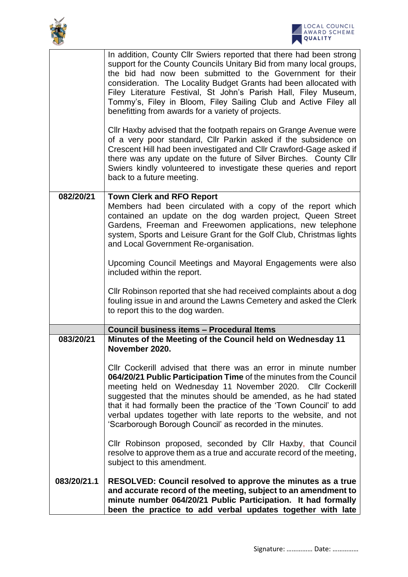

|             | In addition, County Cllr Swiers reported that there had been strong<br>support for the County Councils Unitary Bid from many local groups,<br>the bid had now been submitted to the Government for their<br>consideration. The Locality Budget Grants had been allocated with<br>Filey Literature Festival, St John's Parish Hall, Filey Museum,<br>Tommy's, Filey in Bloom, Filey Sailing Club and Active Filey all<br>benefitting from awards for a variety of projects.      |
|-------------|---------------------------------------------------------------------------------------------------------------------------------------------------------------------------------------------------------------------------------------------------------------------------------------------------------------------------------------------------------------------------------------------------------------------------------------------------------------------------------|
|             | Cllr Haxby advised that the footpath repairs on Grange Avenue were<br>of a very poor standard, Cllr Parkin asked if the subsidence on<br>Crescent Hill had been investigated and Cllr Crawford-Gage asked if<br>there was any update on the future of Silver Birches. County Cllr<br>Swiers kindly volunteered to investigate these queries and report<br>back to a future meeting.                                                                                             |
| 082/20/21   | <b>Town Clerk and RFO Report</b><br>Members had been circulated with a copy of the report which<br>contained an update on the dog warden project, Queen Street<br>Gardens, Freeman and Freewomen applications, new telephone<br>system, Sports and Leisure Grant for the Golf Club, Christmas lights<br>and Local Government Re-organisation.                                                                                                                                   |
|             | Upcoming Council Meetings and Mayoral Engagements were also<br>included within the report.                                                                                                                                                                                                                                                                                                                                                                                      |
|             | CIIr Robinson reported that she had received complaints about a dog<br>fouling issue in and around the Lawns Cemetery and asked the Clerk<br>to report this to the dog warden.                                                                                                                                                                                                                                                                                                  |
|             | <b>Council business items - Procedural Items</b>                                                                                                                                                                                                                                                                                                                                                                                                                                |
| 083/20/21   | Minutes of the Meeting of the Council held on Wednesday 11<br>November 2020.                                                                                                                                                                                                                                                                                                                                                                                                    |
|             | CIIr Cockerill advised that there was an error in minute number<br>064/20/21 Public Participation Time of the minutes from the Council<br>meeting held on Wednesday 11 November 2020. Cllr Cockerill<br>suggested that the minutes should be amended, as he had stated<br>that it had formally been the practice of the 'Town Council' to add<br>verbal updates together with late reports to the website, and not<br>'Scarborough Borough Council' as recorded in the minutes. |
|             | Cllr Robinson proposed, seconded by Cllr Haxby, that Council<br>resolve to approve them as a true and accurate record of the meeting,<br>subject to this amendment.                                                                                                                                                                                                                                                                                                             |
| 083/20/21.1 | RESOLVED: Council resolved to approve the minutes as a true<br>and accurate record of the meeting, subject to an amendment to<br>minute number 064/20/21 Public Participation. It had formally<br>been the practice to add verbal updates together with late                                                                                                                                                                                                                    |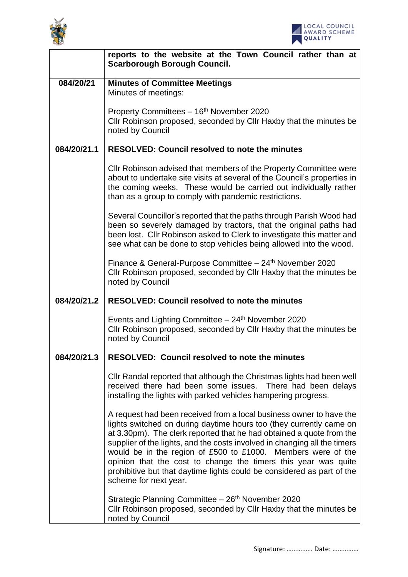



|             | reports to the website at the Town Council rather than at<br><b>Scarborough Borough Council.</b>                                                                                                                                                                                                                                                                                                                                                                                                                                     |
|-------------|--------------------------------------------------------------------------------------------------------------------------------------------------------------------------------------------------------------------------------------------------------------------------------------------------------------------------------------------------------------------------------------------------------------------------------------------------------------------------------------------------------------------------------------|
| 084/20/21   | <b>Minutes of Committee Meetings</b><br>Minutes of meetings:                                                                                                                                                                                                                                                                                                                                                                                                                                                                         |
|             | Property Committees - 16 <sup>th</sup> November 2020<br>CIIr Robinson proposed, seconded by CIIr Haxby that the minutes be<br>noted by Council                                                                                                                                                                                                                                                                                                                                                                                       |
| 084/20/21.1 | <b>RESOLVED: Council resolved to note the minutes</b>                                                                                                                                                                                                                                                                                                                                                                                                                                                                                |
|             | CIIr Robinson advised that members of the Property Committee were<br>about to undertake site visits at several of the Council's properties in<br>the coming weeks. These would be carried out individually rather<br>than as a group to comply with pandemic restrictions.                                                                                                                                                                                                                                                           |
|             | Several Councillor's reported that the paths through Parish Wood had<br>been so severely damaged by tractors, that the original paths had<br>been lost. Cllr Robinson asked to Clerk to investigate this matter and<br>see what can be done to stop vehicles being allowed into the wood.                                                                                                                                                                                                                                            |
|             | Finance & General-Purpose Committee - 24 <sup>th</sup> November 2020<br>CIIr Robinson proposed, seconded by CIIr Haxby that the minutes be<br>noted by Council                                                                                                                                                                                                                                                                                                                                                                       |
| 084/20/21.2 | <b>RESOLVED: Council resolved to note the minutes</b>                                                                                                                                                                                                                                                                                                                                                                                                                                                                                |
|             | Events and Lighting Committee - 24 <sup>th</sup> November 2020<br>Cllr Robinson proposed, seconded by Cllr Haxby that the minutes be<br>noted by Council                                                                                                                                                                                                                                                                                                                                                                             |
| 084/20/21.3 | <b>RESOLVED: Council resolved to note the minutes</b>                                                                                                                                                                                                                                                                                                                                                                                                                                                                                |
|             | Cllr Randal reported that although the Christmas lights had been well<br>received there had been some issues. There had been delays<br>installing the lights with parked vehicles hampering progress.                                                                                                                                                                                                                                                                                                                                |
|             | A request had been received from a local business owner to have the<br>lights switched on during daytime hours too (they currently came on<br>at 3.30pm). The clerk reported that he had obtained a quote from the<br>supplier of the lights, and the costs involved in changing all the timers<br>would be in the region of £500 to £1000. Members were of the<br>opinion that the cost to change the timers this year was quite<br>prohibitive but that daytime lights could be considered as part of the<br>scheme for next year. |
|             | Strategic Planning Committee - 26 <sup>th</sup> November 2020<br>Cllr Robinson proposed, seconded by Cllr Haxby that the minutes be<br>noted by Council                                                                                                                                                                                                                                                                                                                                                                              |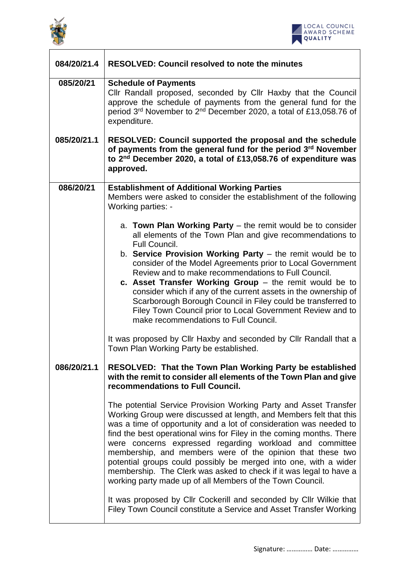



| 084/20/21.4 | <b>RESOLVED: Council resolved to note the minutes</b>                                                                                                                                                                                                                                                                                                                                                                                                                                                                                                                                                                                                                                                                                                   |
|-------------|---------------------------------------------------------------------------------------------------------------------------------------------------------------------------------------------------------------------------------------------------------------------------------------------------------------------------------------------------------------------------------------------------------------------------------------------------------------------------------------------------------------------------------------------------------------------------------------------------------------------------------------------------------------------------------------------------------------------------------------------------------|
| 085/20/21   | <b>Schedule of Payments</b><br>Cllr Randall proposed, seconded by Cllr Haxby that the Council<br>approve the schedule of payments from the general fund for the<br>period 3rd November to 2nd December 2020, a total of £13,058.76 of<br>expenditure.                                                                                                                                                                                                                                                                                                                                                                                                                                                                                                   |
| 085/20/21.1 | RESOLVED: Council supported the proposal and the schedule<br>of payments from the general fund for the period 3rd November<br>to 2 <sup>nd</sup> December 2020, a total of £13,058.76 of expenditure was<br>approved.                                                                                                                                                                                                                                                                                                                                                                                                                                                                                                                                   |
| 086/20/21   | <b>Establishment of Additional Working Parties</b><br>Members were asked to consider the establishment of the following<br>Working parties: -                                                                                                                                                                                                                                                                                                                                                                                                                                                                                                                                                                                                           |
|             | a. Town Plan Working Party $-$ the remit would be to consider<br>all elements of the Town Plan and give recommendations to<br>Full Council.<br>b. Service Provision Working Party $-$ the remit would be to<br>consider of the Model Agreements prior to Local Government<br>Review and to make recommendations to Full Council.<br>c. Asset Transfer Working Group $-$ the remit would be to<br>consider which if any of the current assets in the ownership of<br>Scarborough Borough Council in Filey could be transferred to<br>Filey Town Council prior to Local Government Review and to<br>make recommendations to Full Council.<br>It was proposed by Cllr Haxby and seconded by Cllr Randall that a<br>Town Plan Working Party be established. |
| 086/20/21.1 | <b>RESOLVED: That the Town Plan Working Party be established</b><br>with the remit to consider all elements of the Town Plan and give<br>recommendations to Full Council.<br>The potential Service Provision Working Party and Asset Transfer<br>Working Group were discussed at length, and Members felt that this<br>was a time of opportunity and a lot of consideration was needed to<br>find the best operational wins for Filey in the coming months. There<br>were concerns expressed regarding workload and committee                                                                                                                                                                                                                           |
|             | membership, and members were of the opinion that these two<br>potential groups could possibly be merged into one, with a wider<br>membership. The Clerk was asked to check if it was legal to have a<br>working party made up of all Members of the Town Council.<br>It was proposed by Cllr Cockerill and seconded by Cllr Wilkie that<br>Filey Town Council constitute a Service and Asset Transfer Working                                                                                                                                                                                                                                                                                                                                           |